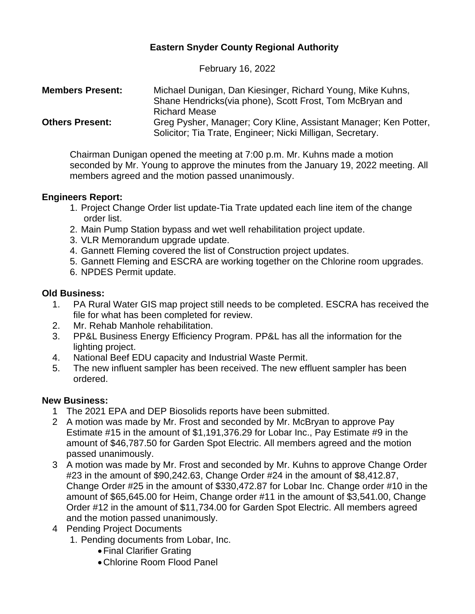# **Eastern Snyder County Regional Authority**

February 16, 2022

| <b>Members Present:</b> | Michael Dunigan, Dan Kiesinger, Richard Young, Mike Kuhns,<br>Shane Hendricks (via phone), Scott Frost, Tom McBryan and                                |
|-------------------------|--------------------------------------------------------------------------------------------------------------------------------------------------------|
| <b>Others Present:</b>  | <b>Richard Mease</b><br>Greg Pysher, Manager; Cory Kline, Assistant Manager; Ken Potter,<br>Solicitor; Tia Trate, Engineer; Nicki Milligan, Secretary. |

Chairman Dunigan opened the meeting at 7:00 p.m. Mr. Kuhns made a motion seconded by Mr. Young to approve the minutes from the January 19, 2022 meeting. All members agreed and the motion passed unanimously.

## **Engineers Report:**

- 1. Project Change Order list update-Tia Trate updated each line item of the change order list.
- 2. Main Pump Station bypass and wet well rehabilitation project update.
- 3. VLR Memorandum upgrade update.
- 4. Gannett Fleming covered the list of Construction project updates.
- 5. Gannett Fleming and ESCRA are working together on the Chlorine room upgrades.
- 6. NPDES Permit update.

### **Old Business:**

- 1. PA Rural Water GIS map project still needs to be completed. ESCRA has received the file for what has been completed for review.
- 2. Mr. Rehab Manhole rehabilitation.
- 3. PP&L Business Energy Efficiency Program. PP&L has all the information for the lighting project.
- 4. National Beef EDU capacity and Industrial Waste Permit.
- 5. The new influent sampler has been received. The new effluent sampler has been ordered.

## **New Business:**

- 1 The 2021 EPA and DEP Biosolids reports have been submitted.
- 2 A motion was made by Mr. Frost and seconded by Mr. McBryan to approve Pay Estimate #15 in the amount of \$1,191,376.29 for Lobar Inc., Pay Estimate #9 in the amount of \$46,787.50 for Garden Spot Electric. All members agreed and the motion passed unanimously.
- 3 A motion was made by Mr. Frost and seconded by Mr. Kuhns to approve Change Order #23 in the amount of \$90,242.63, Change Order #24 in the amount of \$8,412.87, Change Order #25 in the amount of \$330,472.87 for Lobar Inc. Change order #10 in the amount of \$65,645.00 for Heim, Change order #11 in the amount of \$3,541.00, Change Order #12 in the amount of \$11,734.00 for Garden Spot Electric. All members agreed and the motion passed unanimously.
- 4 Pending Project Documents
	- 1. Pending documents from Lobar, Inc.
		- •Final Clarifier Grating
		- •Chlorine Room Flood Panel